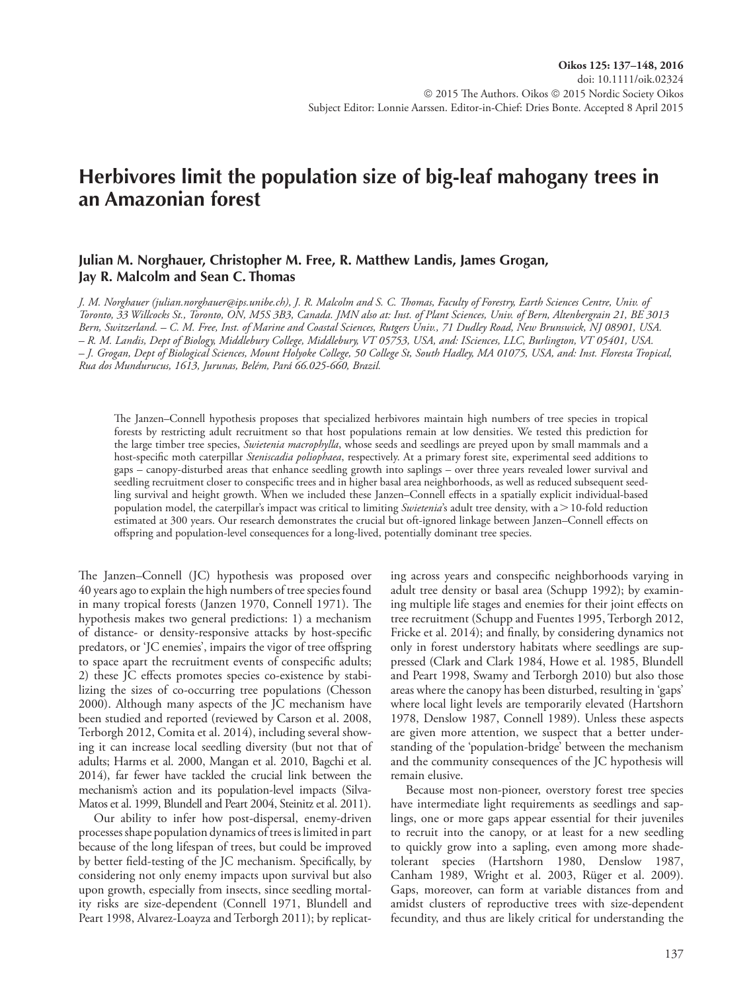# **Herbivores limit the population size of big-leaf mahogany trees in an Amazonian forest**

## **Julian M. Norghauer, Christopher M. Free, R. Matthew Landis, James Grogan, Jay R. Malcolm and Sean C. Thomas**

*J. M. Norghauer (julian.norghauer@ips.unibe.ch), J. R. Malcolm and S. C. Thomas, Faculty of Forestry, Earth Sciences Centre, Univ. of Toronto, 33 Willcocks St., Toronto, ON, M5S 3B3, Canada. JMN also at: Inst. of Plant Sciences, Univ. of Bern, Altenbergrain 21, BE 3013 Bern, Switzerland. – C. M. Free, Inst. of Marine and Coastal Sciences, Rutgers Univ., 71 Dudley Road, New Brunswick, NJ 08901, USA. – R. M. Landis, Dept of Biology, Middlebury College, Middlebury, VT 05753, USA, and: ISciences, LLC, Burlington, VT 05401, USA. – J. Grogan, Dept of Biological Sciences, Mount Holyoke College, 50 College St, South Hadley, MA 01075, USA, and: Inst. Floresta Tropical, Rua dos Mundurucus, 1613, Jurunas, Belém, Pará 66.025-660, Brazil.*

The Janzen–Connell hypothesis proposes that specialized herbivores maintain high numbers of tree species in tropical forests by restricting adult recruitment so that host populations remain at low densities. We tested this prediction for the large timber tree species, *Swietenia macrophylla*, whose seeds and seedlings are preyed upon by small mammals and a host-specific moth caterpillar *Steniscadia poliophaea*, respectively. At a primary forest site, experimental seed additions to gaps – canopy-disturbed areas that enhance seedling growth into saplings – over three years revealed lower survival and seedling recruitment closer to conspecific trees and in higher basal area neighborhoods, as well as reduced subsequent seedling survival and height growth. When we included these Janzen–Connell effects in a spatially explicit individual-based population model, the caterpillar's impact was critical to limiting *Swietenia*'s adult tree density, with a > 10-fold reduction estimated at 300 years. Our research demonstrates the crucial but oft-ignored linkage between Janzen–Connell effects on offspring and population-level consequences for a long-lived, potentially dominant tree species.

The Janzen–Connell (JC) hypothesis was proposed over 40 years ago to explain the high numbers of tree species found in many tropical forests (Janzen 1970, Connell 1971). The hypothesis makes two general predictions: 1) a mechanism of distance- or density-responsive attacks by host-specific predators, or 'JC enemies', impairs the vigor of tree offspring to space apart the recruitment events of conspecific adults; 2) these JC effects promotes species co-existence by stabilizing the sizes of co-occurring tree populations (Chesson 2000). Although many aspects of the JC mechanism have been studied and reported (reviewed by Carson et al. 2008, Terborgh 2012, Comita et al. 2014), including several showing it can increase local seedling diversity (but not that of adults; Harms et al. 2000, Mangan et al. 2010, Bagchi et al. 2014), far fewer have tackled the crucial link between the mechanism's action and its population-level impacts (Silva-Matos et al. 1999, Blundell and Peart 2004, Steinitz et al. 2011).

Our ability to infer how post-dispersal, enemy-driven processes shape population dynamics of trees is limited in part because of the long lifespan of trees, but could be improved by better field-testing of the JC mechanism. Specifically, by considering not only enemy impacts upon survival but also upon growth, especially from insects, since seedling mortality risks are size-dependent (Connell 1971, Blundell and Peart 1998, Alvarez-Loayza and Terborgh 2011); by replicating across years and conspecific neighborhoods varying in adult tree density or basal area (Schupp 1992); by examining multiple life stages and enemies for their joint effects on tree recruitment (Schupp and Fuentes 1995, Terborgh 2012, Fricke et al. 2014); and finally, by considering dynamics not only in forest understory habitats where seedlings are suppressed (Clark and Clark 1984, Howe et al. 1985, Blundell and Peart 1998, Swamy and Terborgh 2010) but also those areas where the canopy has been disturbed, resulting in 'gaps' where local light levels are temporarily elevated (Hartshorn 1978, Denslow 1987, Connell 1989). Unless these aspects are given more attention, we suspect that a better understanding of the 'population-bridge' between the mechanism and the community consequences of the JC hypothesis will remain elusive.

Because most non-pioneer, overstory forest tree species have intermediate light requirements as seedlings and saplings, one or more gaps appear essential for their juveniles to recruit into the canopy, or at least for a new seedling to quickly grow into a sapling, even among more shadetolerant species (Hartshorn 1980, Denslow 1987, Canham 1989, Wright et al. 2003, Rüger et al. 2009). Gaps, moreover, can form at variable distances from and amidst clusters of reproductive trees with size-dependent fecundity, and thus are likely critical for understanding the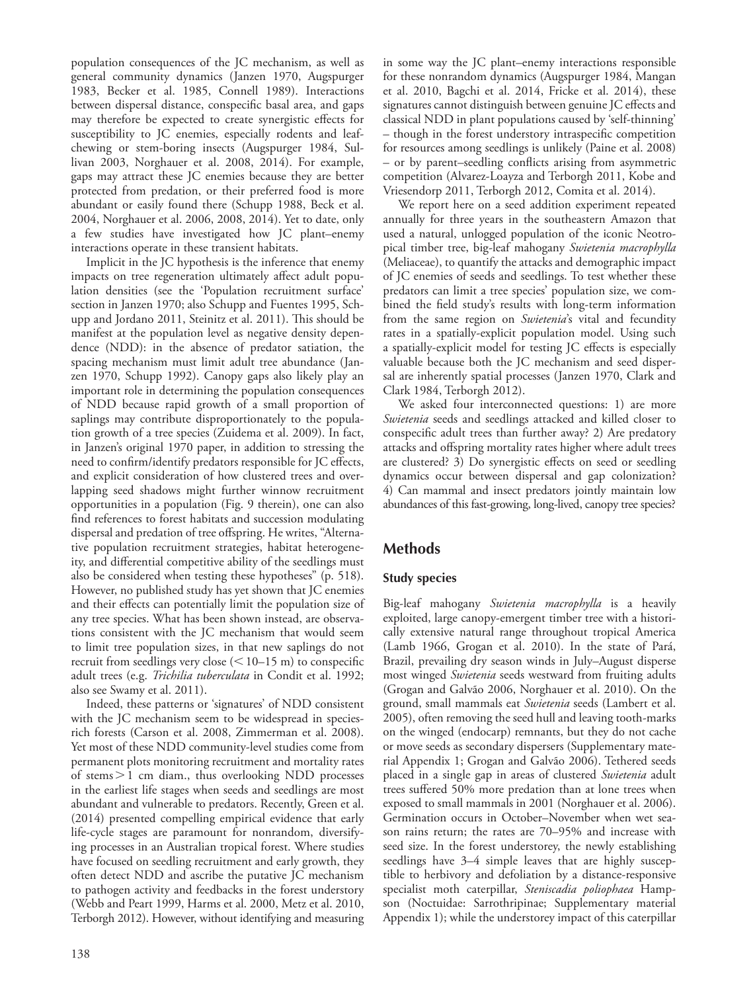population consequences of the JC mechanism, as well as general community dynamics (Janzen 1970, Augspurger 1983, Becker et al. 1985, Connell 1989). Interactions between dispersal distance, conspecific basal area, and gaps may therefore be expected to create synergistic effects for susceptibility to JC enemies, especially rodents and leafchewing or stem-boring insects (Augspurger 1984, Sullivan 2003, Norghauer et al. 2008, 2014). For example, gaps may attract these JC enemies because they are better protected from predation, or their preferred food is more abundant or easily found there (Schupp 1988, Beck et al. 2004, Norghauer et al. 2006, 2008, 2014). Yet to date, only a few studies have investigated how JC plant–enemy interactions operate in these transient habitats.

Implicit in the JC hypothesis is the inference that enemy impacts on tree regeneration ultimately affect adult population densities (see the 'Population recruitment surface' section in Janzen 1970; also Schupp and Fuentes 1995, Schupp and Jordano 2011, Steinitz et al. 2011). This should be manifest at the population level as negative density dependence (NDD): in the absence of predator satiation, the spacing mechanism must limit adult tree abundance (Janzen 1970, Schupp 1992). Canopy gaps also likely play an important role in determining the population consequences of NDD because rapid growth of a small proportion of saplings may contribute disproportionately to the population growth of a tree species (Zuidema et al. 2009). In fact, in Janzen's original 1970 paper, in addition to stressing the need to confirm/identify predators responsible for JC effects, and explicit consideration of how clustered trees and overlapping seed shadows might further winnow recruitment opportunities in a population (Fig. 9 therein), one can also find references to forest habitats and succession modulating dispersal and predation of tree offspring. He writes, "Alternative population recruitment strategies, habitat heterogeneity, and differential competitive ability of the seedlings must also be considered when testing these hypotheses" (p. 518). However, no published study has yet shown that JC enemies and their effects can potentially limit the population size of any tree species. What has been shown instead, are observations consistent with the JC mechanism that would seem to limit tree population sizes, in that new saplings do not recruit from seedlings very close  $(< 10-15$  m) to conspecific adult trees (e.g. *Trichilia tuberculata* in Condit et al. 1992; also see Swamy et al. 2011).

Indeed, these patterns or 'signatures' of NDD consistent with the JC mechanism seem to be widespread in speciesrich forests (Carson et al. 2008, Zimmerman et al. 2008). Yet most of these NDD community-level studies come from permanent plots monitoring recruitment and mortality rates of stems $>1$  cm diam., thus overlooking NDD processes in the earliest life stages when seeds and seedlings are most abundant and vulnerable to predators. Recently, Green et al. (2014) presented compelling empirical evidence that early life-cycle stages are paramount for nonrandom, diversifying processes in an Australian tropical forest. Where studies have focused on seedling recruitment and early growth, they often detect NDD and ascribe the putative JC mechanism to pathogen activity and feedbacks in the forest understory (Webb and Peart 1999, Harms et al. 2000, Metz et al. 2010, Terborgh 2012). However, without identifying and measuring

in some way the JC plant–enemy interactions responsible for these nonrandom dynamics (Augspurger 1984, Mangan et al. 2010, Bagchi et al. 2014, Fricke et al. 2014), these signatures cannot distinguish between genuine JC effects and classical NDD in plant populations caused by 'self-thinning' – though in the forest understory intraspecific competition for resources among seedlings is unlikely (Paine et al. 2008) – or by parent–seedling conflicts arising from asymmetric competition (Alvarez-Loayza and Terborgh 2011, Kobe and Vriesendorp 2011, Terborgh 2012, Comita et al. 2014).

We report here on a seed addition experiment repeated annually for three years in the southeastern Amazon that used a natural, unlogged population of the iconic Neotropical timber tree, big-leaf mahogany *Swietenia macrophylla* (Meliaceae), to quantify the attacks and demographic impact of JC enemies of seeds and seedlings. To test whether these predators can limit a tree species' population size, we combined the field study's results with long-term information from the same region on *Swietenia*'s vital and fecundity rates in a spatially-explicit population model. Using such a spatially-explicit model for testing JC effects is especially valuable because both the JC mechanism and seed dispersal are inherently spatial processes (Janzen 1970, Clark and Clark 1984, Terborgh 2012).

We asked four interconnected questions: 1) are more *Swietenia* seeds and seedlings attacked and killed closer to conspecific adult trees than further away? 2) Are predatory attacks and offspring mortality rates higher where adult trees are clustered? 3) Do synergistic effects on seed or seedling dynamics occur between dispersal and gap colonization? 4) Can mammal and insect predators jointly maintain low abundances of this fast-growing, long-lived, canopy tree species?

# **Methods**

# **Study species**

Big-leaf mahogany *Swietenia macrophylla* is a heavily exploited, large canopy-emergent timber tree with a historically extensive natural range throughout tropical America (Lamb 1966, Grogan et al. 2010). In the state of Pará, Brazil, prevailing dry season winds in July–August disperse most winged *Swietenia* seeds westward from fruiting adults (Grogan and Galvão 2006, Norghauer et al. 2010). On the ground, small mammals eat *Swietenia* seeds (Lambert et al. 2005), often removing the seed hull and leaving tooth-marks on the winged (endocarp) remnants, but they do not cache or move seeds as secondary dispersers (Supplementary material Appendix 1; Grogan and Galvão 2006). Tethered seeds placed in a single gap in areas of clustered *Swietenia* adult trees suffered 50% more predation than at lone trees when exposed to small mammals in 2001 (Norghauer et al. 2006). Germination occurs in October–November when wet season rains return; the rates are 70–95% and increase with seed size. In the forest understorey, the newly establishing seedlings have 3–4 simple leaves that are highly susceptible to herbivory and defoliation by a distance-responsive specialist moth caterpillar, *Steniscadia poliophaea* Hampson (Noctuidae: Sarrothripinae; Supplementary material Appendix 1); while the understorey impact of this caterpillar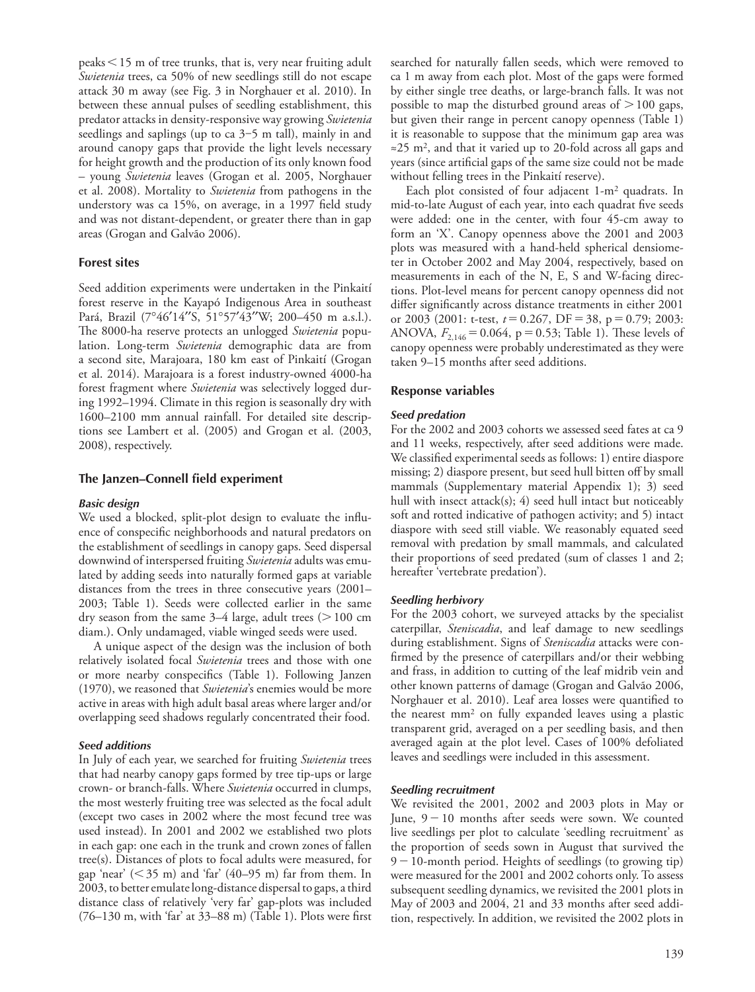$peaks<15$  m of tree trunks, that is, very near fruiting adult *Swietenia* trees, ca 50% of new seedlings still do not escape attack 30 m away (see Fig. 3 in Norghauer et al. 2010). In between these annual pulses of seedling establishment, this predator attacks in density-responsive way growing *Swietenia* seedlings and saplings (up to ca  $3-5$  m tall), mainly in and around canopy gaps that provide the light levels necessary for height growth and the production of its only known food – young *Swietenia* leaves (Grogan et al. 2005, Norghauer et al. 2008). Mortality to *Swietenia* from pathogens in the understory was ca 15%, on average, in a 1997 field study and was not distant-dependent, or greater there than in gap areas (Grogan and Galvão 2006).

## **Forest sites**

Seed addition experiments were undertaken in the Pinkaití forest reserve in the Kayapó Indigenous Area in southeast Pará, Brazil (7°46′14′′S, 51°57′43′′W; 200–450 m a.s.l.). The 8000-ha reserve protects an unlogged *Swietenia* population. Long-term *Swietenia* demographic data are from a second site, Marajoara, 180 km east of Pinkaití (Grogan et al. 2014). Marajoara is a forest industry-owned 4000-ha forest fragment where *Swietenia* was selectively logged during 1992–1994. Climate in this region is seasonally dry with 1600–2100 mm annual rainfall. For detailed site descriptions see Lambert et al. (2005) and Grogan et al. (2003, 2008), respectively.

## **The Janzen–Connell field experiment**

## *Basic design*

We used a blocked, split-plot design to evaluate the influence of conspecific neighborhoods and natural predators on the establishment of seedlings in canopy gaps. Seed dispersal downwind of interspersed fruiting *Swietenia* adults was emulated by adding seeds into naturally formed gaps at variable distances from the trees in three consecutive years (2001– 2003; Table 1). Seeds were collected earlier in the same dry season from the same  $3-4$  large, adult trees ( $>100$  cm diam.). Only undamaged, viable winged seeds were used.

A unique aspect of the design was the inclusion of both relatively isolated focal *Swietenia* trees and those with one or more nearby conspecifics (Table 1). Following Janzen (1970), we reasoned that *Swietenia*'s enemies would be more active in areas with high adult basal areas where larger and/or overlapping seed shadows regularly concentrated their food.

## *Seed additions*

In July of each year, we searched for fruiting *Swietenia* trees that had nearby canopy gaps formed by tree tip-ups or large crown- or branch-falls. Where *Swietenia* occurred in clumps, the most westerly fruiting tree was selected as the focal adult (except two cases in 2002 where the most fecund tree was used instead). In 2001 and 2002 we established two plots in each gap: one each in the trunk and crown zones of fallen tree(s). Distances of plots to focal adults were measured, for gap 'near'  $(< 35$  m) and 'far'  $(40-95$  m) far from them. In 2003, to better emulate long-distance dispersal to gaps, a third distance class of relatively 'very far' gap-plots was included (76–130 m, with 'far' at 33–88 m) (Table 1). Plots were first searched for naturally fallen seeds, which were removed to ca 1 m away from each plot. Most of the gaps were formed by either single tree deaths, or large-branch falls. It was not possible to map the disturbed ground areas of  $> 100$  gaps, but given their range in percent canopy openness (Table 1) it is reasonable to suppose that the minimum gap area was ≈25 m2, and that it varied up to 20-fold across all gaps and years (since artificial gaps of the same size could not be made without felling trees in the Pinkaití reserve).

Each plot consisted of four adjacent 1-m2 quadrats. In mid-to-late August of each year, into each quadrat five seeds were added: one in the center, with four 45-cm away to form an 'X'. Canopy openness above the 2001 and 2003 plots was measured with a hand-held spherical densiometer in October 2002 and May 2004, respectively, based on measurements in each of the N, E, S and W-facing directions. Plot-level means for percent canopy openness did not differ significantly across distance treatments in either 2001 or 2003 (2001: t-test,  $t=0.267$ , DF = 38, p = 0.79; 2003: ANOVA,  $F_{2,146} = 0.064$ , p = 0.53; Table 1). These levels of canopy openness were probably underestimated as they were taken 9–15 months after seed additions.

#### **Response variables**

#### *Seed predation*

For the 2002 and 2003 cohorts we assessed seed fates at ca 9 and 11 weeks, respectively, after seed additions were made. We classified experimental seeds as follows: 1) entire diaspore missing; 2) diaspore present, but seed hull bitten off by small mammals (Supplementary material Appendix 1); 3) seed hull with insect attack(s);  $4$ ) seed hull intact but noticeably soft and rotted indicative of pathogen activity; and 5) intact diaspore with seed still viable. We reasonably equated seed removal with predation by small mammals, and calculated their proportions of seed predated (sum of classes 1 and 2; hereafter 'vertebrate predation').

#### *Seedling herbivory*

For the 2003 cohort, we surveyed attacks by the specialist caterpillar, *Steniscadia*, and leaf damage to new seedlings during establishment. Signs of *Steniscadia* attacks were confirmed by the presence of caterpillars and/or their webbing and frass, in addition to cutting of the leaf midrib vein and other known patterns of damage (Grogan and Galvão 2006, Norghauer et al. 2010). Leaf area losses were quantified to the nearest mm2 on fully expanded leaves using a plastic transparent grid, averaged on a per seedling basis, and then averaged again at the plot level. Cases of 100% defoliated leaves and seedlings were included in this assessment.

#### *Seedling recruitment*

We revisited the 2001, 2002 and 2003 plots in May or June,  $9-10$  months after seeds were sown. We counted live seedlings per plot to calculate 'seedling recruitment' as the proportion of seeds sown in August that survived the  $9-10$ -month period. Heights of seedlings (to growing tip) were measured for the 2001 and 2002 cohorts only. To assess subsequent seedling dynamics, we revisited the 2001 plots in May of 2003 and 2004, 21 and 33 months after seed addition, respectively. In addition, we revisited the 2002 plots in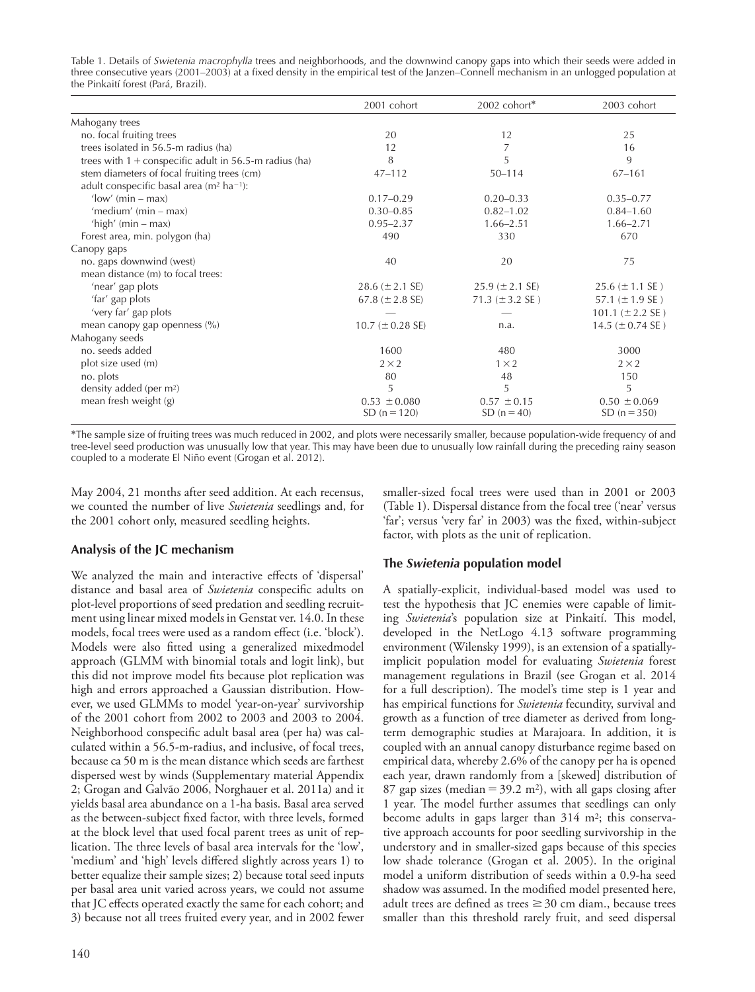Table 1. Details of *Swietenia macrophylla* trees and neighborhoods, and the downwind canopy gaps into which their seeds were added in three consecutive years (2001–2003) at a fixed density in the empirical test of the Janzen–Connell mechanism in an unlogged population at the Pinkaití forest (Pará, Brazil).

|                                                                  | 2001 cohort                        | 2002 cohort*                     | 2003 cohort                        |
|------------------------------------------------------------------|------------------------------------|----------------------------------|------------------------------------|
| Mahogany trees                                                   |                                    |                                  |                                    |
| no. focal fruiting trees                                         | 20                                 | 12                               | 25                                 |
| trees isolated in 56.5-m radius (ha)                             | 12                                 | 7                                | 16                                 |
| trees with $1 +$ conspecific adult in 56.5-m radius (ha)         | 8                                  | 5                                | 9                                  |
| stem diameters of focal fruiting trees (cm)                      | $47 - 112$                         | $50 - 114$                       | 67-161                             |
| adult conspecific basal area (m <sup>2</sup> ha <sup>-1</sup> ): |                                    |                                  |                                    |
| $'low'$ (min – max)                                              | $0.17 - 0.29$                      | $0.20 - 0.33$                    | $0.35 - 0.77$                      |
| 'medium' (min - max)                                             | $0.30 - 0.85$                      | $0.82 - 1.02$                    | $0.84 - 1.60$                      |
| 'high' (min $-$ max)                                             | $0.95 - 2.37$                      | $1.66 - 2.51$                    | $1.66 - 2.71$                      |
| Forest area, min. polygon (ha)                                   | 490                                | 330                              | 670                                |
| Canopy gaps                                                      |                                    |                                  |                                    |
| no. gaps downwind (west)                                         | 40                                 | 20                               | 75                                 |
| mean distance (m) to focal trees:                                |                                    |                                  |                                    |
| 'near' gap plots                                                 | 28.6 $(\pm 2.1$ SE)                | $25.9 (\pm 2.1 \text{ SE})$      | $25.6 (\pm 1.1 \text{ SE})$        |
| 'far' gap plots                                                  | 67.8 $(\pm 2.8$ SE)                | 71.3 $(\pm 3.2 \text{ SE})$      | 57.1 $(\pm 1.9$ SE)                |
| 'very far' gap plots                                             |                                    |                                  | 101.1 $(\pm 2.2 \text{ SE})$       |
| mean canopy gap openness (%)                                     | $10.7 (\pm 0.28 \text{ SE})$       | n.a.                             | $14.5 (\pm 0.74$ SE)               |
| Mahogany seeds                                                   |                                    |                                  |                                    |
| no. seeds added                                                  | 1600                               | 480                              | 3000                               |
| plot size used (m)                                               | $2 \times 2$                       | $1 \times 2$                     | $2 \times 2$                       |
| no. plots                                                        | 80                                 | 48                               | 150                                |
| density added (per $m2$ )                                        | 5                                  | 5                                | 5                                  |
| mean fresh weight (g)                                            | $0.53 \pm 0.080$<br>$SD (n = 120)$ | $0.57 \pm 0.15$<br>$SD (n = 40)$ | $0.50 \pm 0.069$<br>$SD (n = 350)$ |

\*The sample size of fruiting trees was much reduced in 2002, and plots were necessarily smaller, because population-wide frequency of and tree-level seed production was unusually low that year. This may have been due to unusually low rainfall during the preceding rainy season coupled to a moderate El Niño event (Grogan et al. 2012).

May 2004, 21 months after seed addition. At each recensus, we counted the number of live *Swietenia* seedlings and, for the 2001 cohort only, measured seedling heights.

## **Analysis of the JC mechanism**

We analyzed the main and interactive effects of 'dispersal' distance and basal area of *Swietenia* conspecific adults on plot-level proportions of seed predation and seedling recruitment using linear mixed models in Genstat ver. 14.0. In these models, focal trees were used as a random effect (i.e. 'block'). Models were also fitted using a generalized mixedmodel approach (GLMM with binomial totals and logit link), but this did not improve model fits because plot replication was high and errors approached a Gaussian distribution. However, we used GLMMs to model 'year-on-year' survivorship of the 2001 cohort from 2002 to 2003 and 2003 to 2004. Neighborhood conspecific adult basal area (per ha) was calculated within a 56.5-m-radius, and inclusive, of focal trees, because ca 50 m is the mean distance which seeds are farthest dispersed west by winds (Supplementary material Appendix 2; Grogan and Galvão 2006, Norghauer et al. 2011a) and it yields basal area abundance on a 1-ha basis. Basal area served as the between-subject fixed factor, with three levels, formed at the block level that used focal parent trees as unit of replication. The three levels of basal area intervals for the 'low', 'medium' and 'high' levels differed slightly across years 1) to better equalize their sample sizes; 2) because total seed inputs per basal area unit varied across years, we could not assume that JC effects operated exactly the same for each cohort; and 3) because not all trees fruited every year, and in 2002 fewer smaller-sized focal trees were used than in 2001 or 2003 (Table 1). Dispersal distance from the focal tree ('near' versus 'far'; versus 'very far' in 2003) was the fixed, within-subject factor, with plots as the unit of replication.

## **The** *Swietenia* **population model**

A spatially-explicit, individual-based model was used to test the hypothesis that JC enemies were capable of limiting *Swietenia*'s population size at Pinkaití. This model, developed in the NetLogo 4.13 software programming environment (Wilensky 1999), is an extension of a spatiallyimplicit population model for evaluating *Swietenia* forest management regulations in Brazil (see Grogan et al. 2014 for a full description). The model's time step is 1 year and has empirical functions for *Swietenia* fecundity, survival and growth as a function of tree diameter as derived from longterm demographic studies at Marajoara. In addition, it is coupled with an annual canopy disturbance regime based on empirical data, whereby 2.6% of the canopy per ha is opened each year, drawn randomly from a [skewed] distribution of 87 gap sizes (median  $=$  39.2 m<sup>2</sup>), with all gaps closing after 1 year. The model further assumes that seedlings can only become adults in gaps larger than 314 m2; this conservative approach accounts for poor seedling survivorship in the understory and in smaller-sized gaps because of this species low shade tolerance (Grogan et al. 2005). In the original model a uniform distribution of seeds within a 0.9-ha seed shadow was assumed. In the modified model presented here, adult trees are defined as trees  $\geq 30$  cm diam., because trees smaller than this threshold rarely fruit, and seed dispersal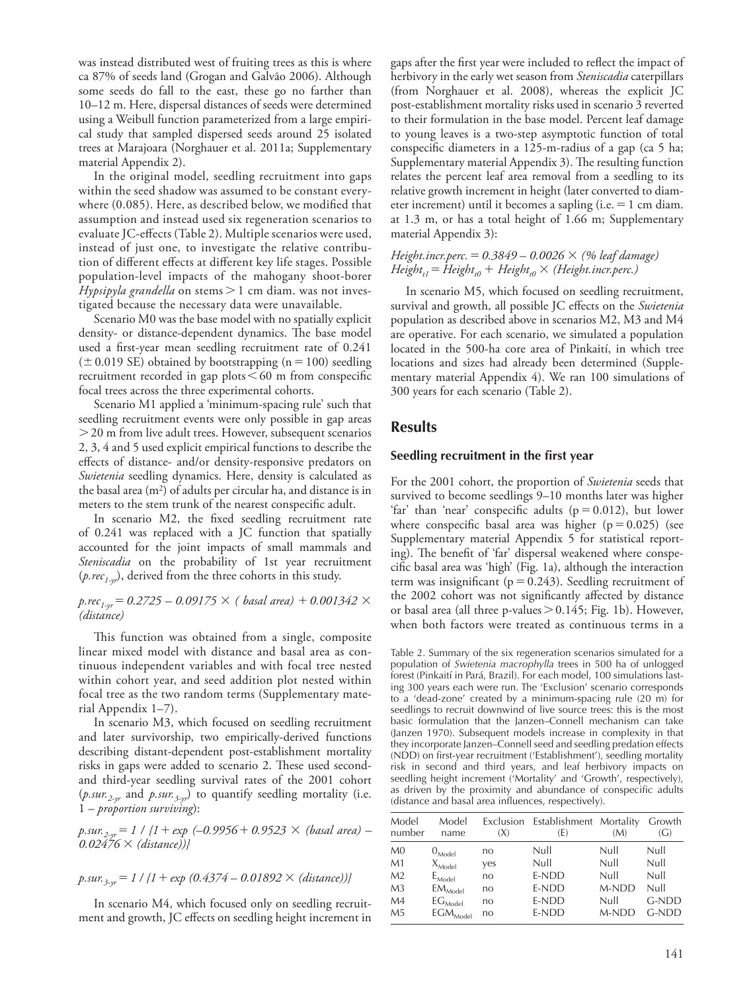was instead distributed west of fruiting trees as this is where ca 87% of seeds land (Grogan and Galvão 2006). Although some seeds do fall to the east, these go no farther than 10–12 m. Here, dispersal distances of seeds were determined using a Weibull function parameterized from a large empirical study that sampled dispersed seeds around 25 isolated trees at Marajoara (Norghauer et al. 2011a; Supplementary material Appendix 2).

In the original model, seedling recruitment into gaps within the seed shadow was assumed to be constant everywhere (0.085). Here, as described below, we modified that assumption and instead used six regeneration scenarios to evaluate JC-effects (Table 2). Multiple scenarios were used, instead of just one, to investigate the relative contribution of different effects at different key life stages. Possible population-level impacts of the mahogany shoot-borer *Hypsipyla grandella* on stems  $> 1$  cm diam. was not investigated because the necessary data were unavailable.

Scenario M0 was the base model with no spatially explicit density- or distance-dependent dynamics. The base model used a first-year mean seedling recruitment rate of 0.241  $(\pm 0.019 \text{ SE})$  obtained by bootstrapping (n = 100) seedling recruitment recorded in gap plots $< 60$  m from conspecific focal trees across the three experimental cohorts.

Scenario M1 applied a 'minimum-spacing rule' such that seedling recruitment events were only possible in gap areas 20 m from live adult trees. However, subsequent scenarios 2, 3, 4 and 5 used explicit empirical functions to describe the effects of distance- and/or density-responsive predators on *Swietenia* seedling dynamics. Here, density is calculated as the basal area  $(m^2)$  of adults per circular ha, and distance is in meters to the stem trunk of the nearest conspecific adult.

In scenario M2, the fixed seedling recruitment rate of 0.241 was replaced with a JC function that spatially accounted for the joint impacts of small mammals and *Steniscadia* on the probability of 1st year recruitment (*p.rec1-yr*), derived from the three cohorts in this study.

 $p_{\text{.rec}_{1-\gamma r}} = 0.2725 - 0.09175 \times ($  basal area) + 0.001342  $\times$ *(distance)*

This function was obtained from a single, composite linear mixed model with distance and basal area as continuous independent variables and with focal tree nested within cohort year, and seed addition plot nested within focal tree as the two random terms (Supplementary material Appendix 1–7).

In scenario M3, which focused on seedling recruitment and later survivorship, two empirically-derived functions describing distant-dependent post-establishment mortality risks in gaps were added to scenario 2. These used secondand third-year seedling survival rates of the 2001 cohort  $(p.sum_{2-vr}$  and  $p.sum_{3-vr})$  to quantify seedling mortality (i.e. 1 – *proportion surviving*):

*p.sur.2-yr1 / {1exp (–0.99560.9523 (basal area) – 0.02476 (distance))}*

$$
p.sur_{3-y} = 1 / \{1 + exp(0.4374 - 0.01892 \times (distance))\}
$$

In scenario M4, which focused only on seedling recruitment and growth, JC effects on seedling height increment in gaps after the first year were included to reflect the impact of herbivory in the early wet season from *Steniscadia* caterpillars (from Norghauer et al. 2008), whereas the explicit JC post-establishment mortality risks used in scenario 3 reverted to their formulation in the base model. Percent leaf damage to young leaves is a two-step asymptotic function of total conspecific diameters in a 125-m-radius of a gap (ca 5 ha; Supplementary material Appendix 3). The resulting function relates the percent leaf area removal from a seedling to its relative growth increment in height (later converted to diameter increment) until it becomes a sapling (i.e.  $= 1$  cm diam. at 1.3 m, or has a total height of 1.66 m; Supplementary material Appendix 3):

## *Height.incr.perc.0.3849 – 0.0026 (% leaf damage)*  $Height_{t} = Height_{t0} + Height_{t0} \times (Height.incr.perc.)$

In scenario M5, which focused on seedling recruitment, survival and growth, all possible JC effects on the *Swietenia* population as described above in scenarios M2, M3 and M4 are operative. For each scenario, we simulated a population located in the 500-ha core area of Pinkaití, in which tree locations and sizes had already been determined (Supplementary material Appendix 4). We ran 100 simulations of 300 years for each scenario (Table 2).

## **Results**

## **Seedling recruitment in the first year**

For the 2001 cohort, the proportion of *Swietenia* seeds that survived to become seedlings 9–10 months later was higher 'far' than 'near' conspecific adults  $(p=0.012)$ , but lower where conspecific basal area was higher ( $p=0.025$ ) (see Supplementary material Appendix 5 for statistical reporting). The benefit of 'far' dispersal weakened where conspecific basal area was 'high' (Fig. 1a), although the interaction term was insignificant ( $p=0.243$ ). Seedling recruitment of the 2002 cohort was not significantly affected by distance or basal area (all three p-values $>0.145$ ; Fig. 1b). However, when both factors were treated as continuous terms in a

Table 2. Summary of the six regeneration scenarios simulated for a population of *Swietenia macrophylla* trees in 500 ha of unlogged forest (Pinkaití in Pará, Brazil). For each model, 100 simulations lasting 300 years each were run. The 'Exclusion' scenario corresponds to a 'dead-zone' created by a minimum-spacing rule (20 m) for seedlings to recruit downwind of live source trees: this is the most basic formulation that the Janzen–Connell mechanism can take (Janzen 1970). Subsequent models increase in complexity in that they incorporate Janzen–Connell seed and seedling predation effects (NDD) on first-year recruitment ('Establishment'), seedling mortality risk in second and third years, and leaf herbivory impacts on seedling height increment ('Mortality' and 'Growth', respectively), as driven by the proximity and abundance of conspecific adults (distance and basal area influences, respectively).

| Model<br>number | Model<br>name      | (X)            | Exclusion Establishment Mortality<br>(E) | (M)   | Growth<br>(G) |
|-----------------|--------------------|----------------|------------------------------------------|-------|---------------|
| M <sub>0</sub>  | $0_{\text{Model}}$ | no             | Null                                     | Null  | Null          |
| M1              | $X_{\text{Model}}$ | yes            | Null                                     | Null  | Null          |
| M <sub>2</sub>  | $E_{\text{Model}}$ | no             | E-NDD                                    | Null  | Null          |
| M <sub>3</sub>  | $EM_{Model}$       | no             | E-NDD                                    | M-NDD | Null          |
| M <sub>4</sub>  | $EG_{Model}$       | no             | E-NDD                                    | Null  | G-NDD         |
| M <sub>5</sub>  | $EGM_{Model}$      | n <sub>O</sub> | E-NDD                                    | M-NDD | $G-NDD$       |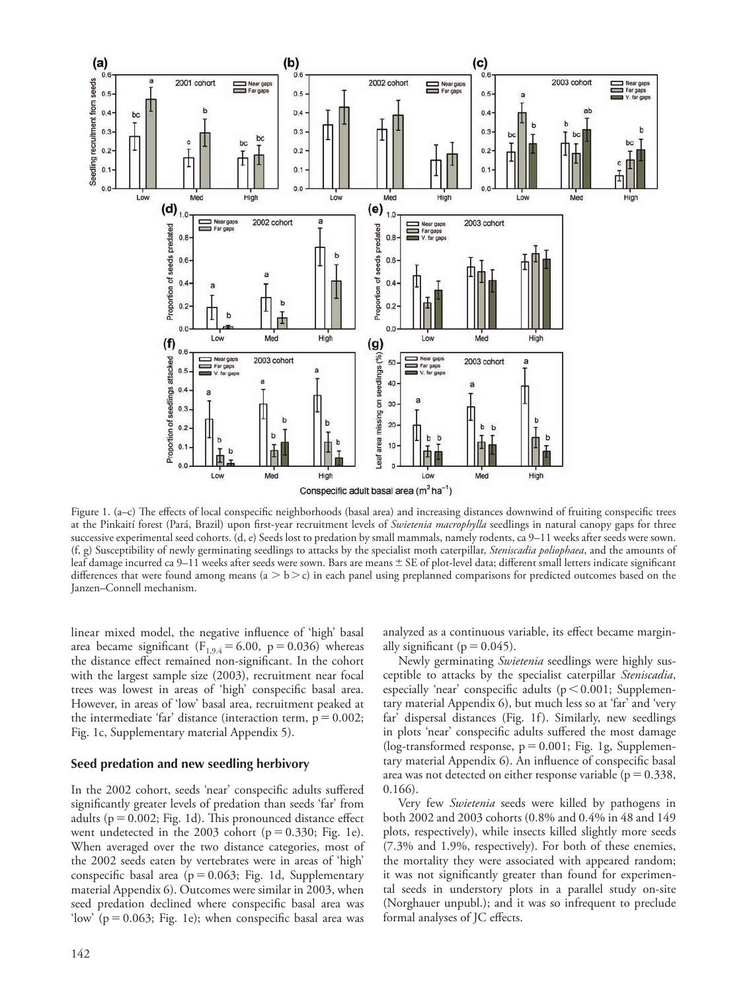

Figure 1. (a–c) The effects of local conspecific neighborhoods (basal area) and increasing distances downwind of fruiting conspecific trees at the Pinkaití forest (Pará, Brazil) upon first-year recruitment levels of *Swietenia macrophylla* seedlings in natural canopy gaps for three successive experimental seed cohorts. (d, e) Seeds lost to predation by small mammals, namely rodents, ca 9–11 weeks after seeds were sown. (f, g) Susceptibility of newly germinating seedlings to attacks by the specialist moth caterpillar, *Steniscadia poliophaea*, and the amounts of leaf damage incurred ca 9-11 weeks after seeds were sown. Bars are means  $\pm$  SE of plot-level data; different small letters indicate significant differences that were found among means  $(a > b > c)$  in each panel using preplanned comparisons for predicted outcomes based on the Janzen–Connell mechanism.

linear mixed model, the negative influence of 'high' basal area became significant ( $F_{1,9,4} = 6.00$ , p=0.036) whereas the distance effect remained non-significant. In the cohort with the largest sample size (2003), recruitment near focal trees was lowest in areas of 'high' conspecific basal area. However, in areas of 'low' basal area, recruitment peaked at the intermediate 'far' distance (interaction term,  $p=0.002$ ; Fig. 1c, Supplementary material Appendix 5).

## **Seed predation and new seedling herbivory**

In the 2002 cohort, seeds 'near' conspecific adults suffered significantly greater levels of predation than seeds 'far' from adults ( $p = 0.002$ ; Fig. 1d). This pronounced distance effect went undetected in the 2003 cohort ( $p=0.330$ ; Fig. 1e). When averaged over the two distance categories, most of the 2002 seeds eaten by vertebrates were in areas of 'high' conspecific basal area ( $p=0.063$ ; Fig. 1d, Supplementary material Appendix 6). Outcomes were similar in 2003, when seed predation declined where conspecific basal area was 'low' ( $p = 0.063$ ; Fig. 1e); when conspecific basal area was analyzed as a continuous variable, its effect became marginally significant ( $p=0.045$ ).

Newly germinating *Swietenia* seedlings were highly susceptible to attacks by the specialist caterpillar *Steniscadia*, especially 'near' conspecific adults ( $p<0.001$ ; Supplementary material Appendix 6), but much less so at 'far' and 'very far' dispersal distances (Fig. 1f). Similarly, new seedlings in plots 'near' conspecific adults suffered the most damage (log-transformed response,  $p=0.001$ ; Fig. 1g, Supplementary material Appendix 6). An influence of conspecific basal area was not detected on either response variable ( $p=0.338$ , 0.166).

Very few *Swietenia* seeds were killed by pathogens in both 2002 and 2003 cohorts (0.8% and 0.4% in 48 and 149 plots, respectively), while insects killed slightly more seeds (7.3% and 1.9%, respectively). For both of these enemies, the mortality they were associated with appeared random; it was not significantly greater than found for experimental seeds in understory plots in a parallel study on-site (Norghauer unpubl.); and it was so infrequent to preclude formal analyses of JC effects.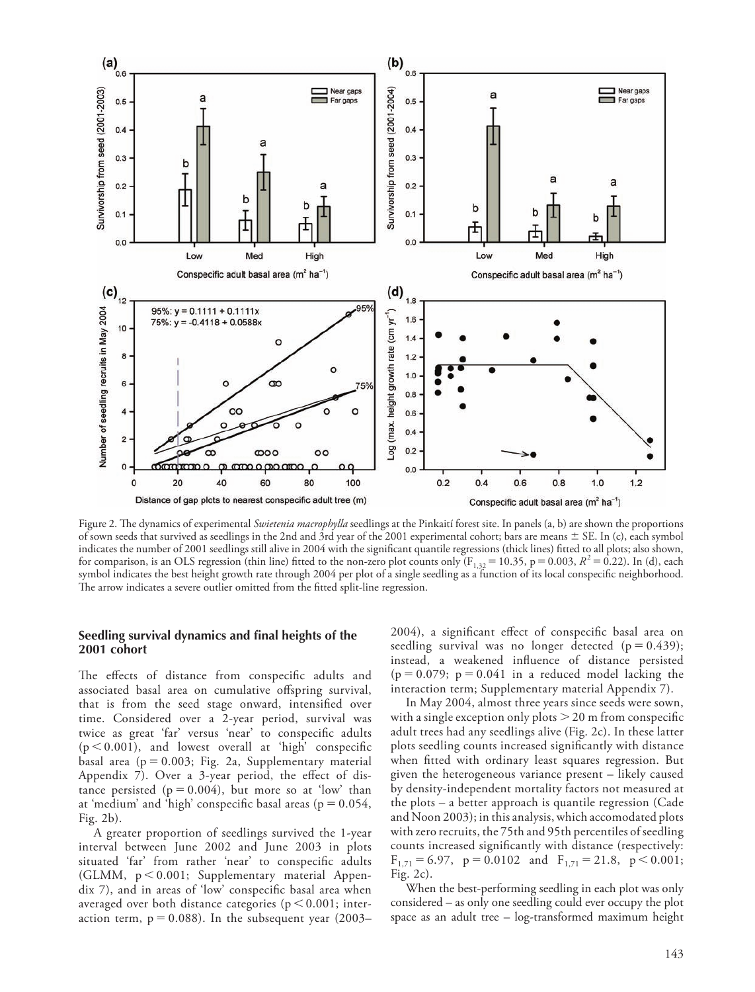

Figure 2. The dynamics of experimental *Swietenia macrophylla* seedlings at the Pinkaití forest site. In panels (a, b) are shown the proportions of sown seeds that survived as seedlings in the 2nd and 3rd year of the 2001 experimental cohort; bars are means  $\pm$  SE. In (c), each symbol indicates the number of 2001 seedlings still alive in 2004 with the significant quantile regressions (thick lines) fitted to all plots; also shown, for comparison, is an OLS regression (thin line) fitted to the non-zero plot counts only  $(F_{1,32} = 10.35, p = 0.003, R^2 = 0.22)$ . In (d), each symbol indicates the best height growth rate through 2004 per plot of a single seedling as a function of its local conspecific neighborhood. The arrow indicates a severe outlier omitted from the fitted split-line regression.

#### **Seedling survival dynamics and final heights of the 2001 cohort**

The effects of distance from conspecific adults and associated basal area on cumulative offspring survival, that is from the seed stage onward, intensified over time. Considered over a 2-year period, survival was twice as great 'far' versus 'near' to conspecific adults  $(p < 0.001)$ , and lowest overall at 'high' conspecific basal area ( $p = 0.003$ ; Fig. 2a, Supplementary material Appendix 7). Over a 3-year period, the effect of distance persisted  $(p = 0.004)$ , but more so at 'low' than at 'medium' and 'high' conspecific basal areas ( $p = 0.054$ , Fig. 2b).

A greater proportion of seedlings survived the 1-year interval between June 2002 and June 2003 in plots situated 'far' from rather 'near' to conspecific adults (GLMM,  $p < 0.001$ ; Supplementary material Appendix 7), and in areas of 'low' conspecific basal area when averaged over both distance categories ( $p \le 0.001$ ; interaction term,  $p = 0.088$ ). In the subsequent year (2003–

2004), a significant effect of conspecific basal area on seedling survival was no longer detected  $(p = 0.439)$ ; instead, a weakened influence of distance persisted  $(p = 0.079; p = 0.041$  in a reduced model lacking the interaction term; Supplementary material Appendix 7).

In May 2004, almost three years since seeds were sown, with a single exception only plots  $>$  20 m from conspecific adult trees had any seedlings alive (Fig. 2c). In these latter plots seedling counts increased significantly with distance when fitted with ordinary least squares regression. But given the heterogeneous variance present – likely caused by density-independent mortality factors not measured at the plots – a better approach is quantile regression (Cade and Noon 2003); in this analysis, which accomodated plots with zero recruits, the 75th and 95th percentiles of seedling counts increased significantly with distance (respectively:  $F_{1,71} = 6.97$ ,  $p = 0.0102$  and  $F_{1,71} = 21.8$ ,  $p < 0.001$ ; Fig. 2c).

When the best-performing seedling in each plot was only considered – as only one seedling could ever occupy the plot space as an adult tree – log-transformed maximum height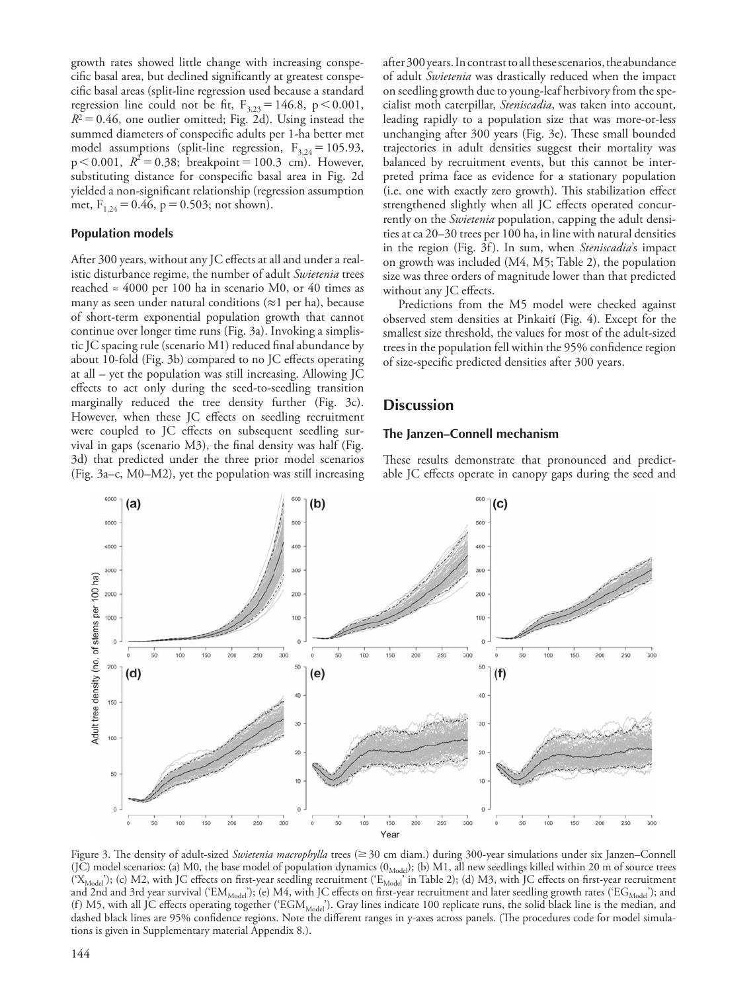growth rates showed little change with increasing conspecific basal area, but declined significantly at greatest conspecific basal areas (split-line regression used because a standard regression line could not be fit,  $F_{3,23} = 146.8$ , p < 0.001,  $R^2 = 0.46$ , one outlier omitted; Fig. 2d). Using instead the summed diameters of conspecific adults per 1-ha better met model assumptions (split-line regression,  $F_{3,24} = 105.93$ ,  $p<0.001$ ,  $R^2=0.38$ ; breakpoint = 100.3 cm). However, substituting distance for conspecific basal area in Fig. 2d yielded a non-significant relationship (regression assumption met,  $F_{1,24} = 0.46$ , p = 0.503; not shown).

## **Population models**

After 300 years, without any JC effects at all and under a realistic disturbance regime, the number of adult *Swietenia* trees reached  $\approx 4000$  per 100 ha in scenario M0, or 40 times as many as seen under natural conditions ( $\approx$ 1 per ha), because of short-term exponential population growth that cannot continue over longer time runs (Fig. 3a). Invoking a simplistic JC spacing rule (scenario M1) reduced final abundance by about 10-fold (Fig. 3b) compared to no JC effects operating at all – yet the population was still increasing. Allowing JC effects to act only during the seed-to-seedling transition marginally reduced the tree density further (Fig. 3c). However, when these JC effects on seedling recruitment were coupled to JC effects on subsequent seedling survival in gaps (scenario M3), the final density was half (Fig. 3d) that predicted under the three prior model scenarios (Fig. 3a–c, M0–M2), yet the population was still increasing after 300 years. In contrast to all these scenarios, the abundance of adult *Swietenia* was drastically reduced when the impact on seedling growth due to young-leaf herbivory from the specialist moth caterpillar, *Steniscadia*, was taken into account, leading rapidly to a population size that was more-or-less unchanging after 300 years (Fig. 3e). These small bounded trajectories in adult densities suggest their mortality was balanced by recruitment events, but this cannot be interpreted prima face as evidence for a stationary population (i.e. one with exactly zero growth). This stabilization effect strengthened slightly when all JC effects operated concurrently on the *Swietenia* population, capping the adult densities at ca 20–30 trees per 100 ha, in line with natural densities in the region (Fig. 3f). In sum, when *Steniscadia*'s impact on growth was included (M4, M5; Table 2), the population size was three orders of magnitude lower than that predicted without any JC effects.

Predictions from the M5 model were checked against observed stem densities at Pinkaití (Fig. 4). Except for the smallest size threshold, the values for most of the adult-sized trees in the population fell within the 95% confidence region of size-specific predicted densities after 300 years.

## **Discussion**

#### **The Janzen–Connell mechanism**

These results demonstrate that pronounced and predictable JC effects operate in canopy gaps during the seed and



Figure 3. The density of adult-sized *Swietenia macrophylla* trees (≥30 cm diam.) during 300-year simulations under six Janzen–Connell (JC) model scenarios: (a) M0, the base model of population dynamics  $(0_{\text{Model}})$ ; (b) M1, all new seedlings killed within 20 m of source trees ('X<sub>Model</sub>'); (c) M2, with JC effects on first-year seedling recruitment ('E<sub>Model</sub>' in Table 2); (d) M3, with JC effects on first-year recruitment and 2nd and 3rd year survival ('EM<sub>Model</sub>'); (e) M4, with JC effects on first-year recruitment and later seedling growth rates ('EG<sub>Model</sub>'); and (f) M5, with all JC effects operating together ('EGM<sub>Model</sub>'). Gray lines indicate 100 replicate runs, the solid black line is the median, and dashed black lines are 95% confidence regions. Note the different ranges in y-axes across panels. (The procedures code for model simulations is given in Supplementary material Appendix 8.).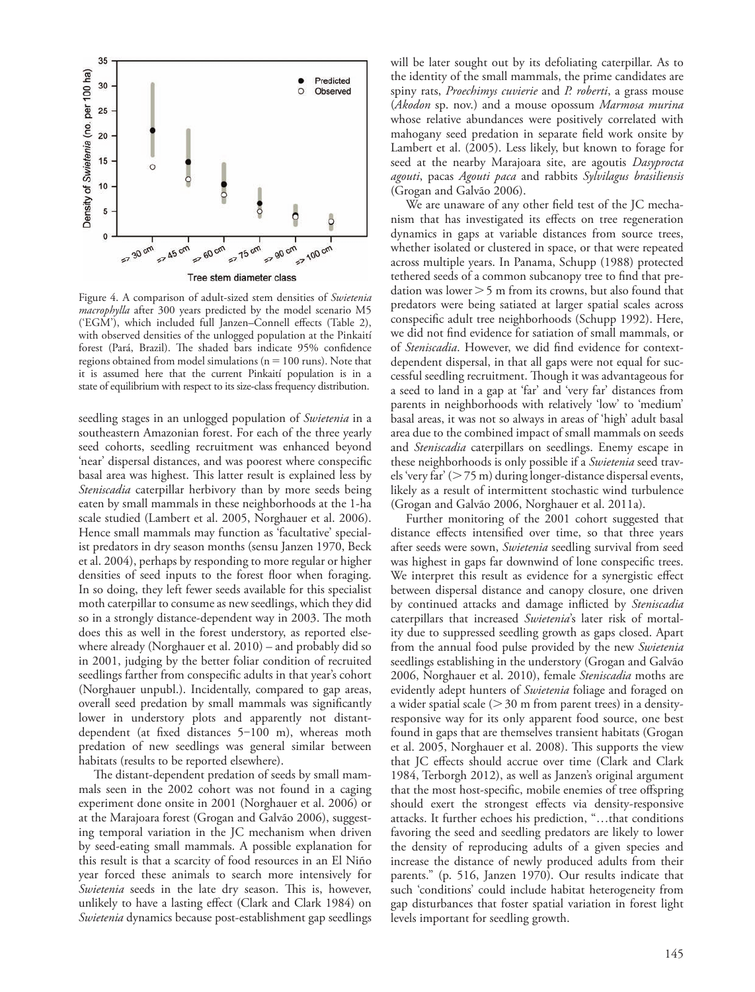

Figure 4. A comparison of adult-sized stem densities of *Swietenia macrophylla* after 300 years predicted by the model scenario M5 ('EGM'), which included full Janzen–Connell effects (Table 2), with observed densities of the unlogged population at the Pinkaití forest (Pará, Brazil). The shaded bars indicate 95% confidence regions obtained from model simulations ( $n = 100$  runs). Note that it is assumed here that the current Pinkaití population is in a state of equilibrium with respect to its size-class frequency distribution.

seedling stages in an unlogged population of *Swietenia* in a southeastern Amazonian forest. For each of the three yearly seed cohorts, seedling recruitment was enhanced beyond 'near' dispersal distances, and was poorest where conspecific basal area was highest. This latter result is explained less by *Steniscadia* caterpillar herbivory than by more seeds being eaten by small mammals in these neighborhoods at the 1-ha scale studied (Lambert et al. 2005, Norghauer et al. 2006). Hence small mammals may function as 'facultative' specialist predators in dry season months (sensu Janzen 1970, Beck et al. 2004), perhaps by responding to more regular or higher densities of seed inputs to the forest floor when foraging. In so doing, they left fewer seeds available for this specialist moth caterpillar to consume as new seedlings, which they did so in a strongly distance-dependent way in 2003. The moth does this as well in the forest understory, as reported elsewhere already (Norghauer et al. 2010) – and probably did so in 2001, judging by the better foliar condition of recruited seedlings farther from conspecific adults in that year's cohort (Norghauer unpubl.). Incidentally, compared to gap areas, overall seed predation by small mammals was significantly lower in understory plots and apparently not distantdependent (at fixed distances 5-100 m), whereas moth predation of new seedlings was general similar between habitats (results to be reported elsewhere).

The distant-dependent predation of seeds by small mammals seen in the 2002 cohort was not found in a caging experiment done onsite in 2001 (Norghauer et al. 2006) or at the Marajoara forest (Grogan and Galvão 2006), suggesting temporal variation in the JC mechanism when driven by seed-eating small mammals. A possible explanation for this result is that a scarcity of food resources in an El Niño year forced these animals to search more intensively for *Swietenia* seeds in the late dry season. This is, however, unlikely to have a lasting effect (Clark and Clark 1984) on *Swietenia* dynamics because post-establishment gap seedlings will be later sought out by its defoliating caterpillar. As to the identity of the small mammals, the prime candidates are spiny rats, *Proechimys cuvierie* and *P. roberti*, a grass mouse (*Akodon* sp. nov.) and a mouse opossum *Marmosa murina* whose relative abundances were positively correlated with mahogany seed predation in separate field work onsite by Lambert et al. (2005). Less likely, but known to forage for seed at the nearby Marajoara site, are agoutis *Dasyprocta agouti*, pacas *Agouti paca* and rabbits *Sylvilagus brasiliensis* (Grogan and Galvão 2006).

We are unaware of any other field test of the JC mechanism that has investigated its effects on tree regeneration dynamics in gaps at variable distances from source trees, whether isolated or clustered in space, or that were repeated across multiple years. In Panama, Schupp (1988) protected tethered seeds of a common subcanopy tree to find that predation was lower $>5$  m from its crowns, but also found that predators were being satiated at larger spatial scales across conspecific adult tree neighborhoods (Schupp 1992). Here, we did not find evidence for satiation of small mammals, or of *Steniscadia*. However, we did find evidence for contextdependent dispersal, in that all gaps were not equal for successful seedling recruitment. Though it was advantageous for a seed to land in a gap at 'far' and 'very far' distances from parents in neighborhoods with relatively 'low' to 'medium' basal areas, it was not so always in areas of 'high' adult basal area due to the combined impact of small mammals on seeds and *Steniscadia* caterpillars on seedlings. Enemy escape in these neighborhoods is only possible if a *Swietenia* seed travels 'very far' (75 m) during longer-distance dispersal events, likely as a result of intermittent stochastic wind turbulence (Grogan and Galvão 2006, Norghauer et al. 2011a).

Further monitoring of the 2001 cohort suggested that distance effects intensified over time, so that three years after seeds were sown, *Swietenia* seedling survival from seed was highest in gaps far downwind of lone conspecific trees. We interpret this result as evidence for a synergistic effect between dispersal distance and canopy closure, one driven by continued attacks and damage inflicted by *Steniscadia* caterpillars that increased *Swietenia*'s later risk of mortality due to suppressed seedling growth as gaps closed. Apart from the annual food pulse provided by the new *Swietenia* seedlings establishing in the understory (Grogan and Galvão 2006, Norghauer et al. 2010), female *Steniscadia* moths are evidently adept hunters of *Swietenia* foliage and foraged on a wider spatial scale ( $>$  30 m from parent trees) in a densityresponsive way for its only apparent food source, one best found in gaps that are themselves transient habitats (Grogan et al. 2005, Norghauer et al. 2008). This supports the view that JC effects should accrue over time (Clark and Clark 1984, Terborgh 2012), as well as Janzen's original argument that the most host-specific, mobile enemies of tree offspring should exert the strongest effects via density-responsive attacks. It further echoes his prediction, "…that conditions favoring the seed and seedling predators are likely to lower the density of reproducing adults of a given species and increase the distance of newly produced adults from their parents." (p. 516, Janzen 1970). Our results indicate that such 'conditions' could include habitat heterogeneity from gap disturbances that foster spatial variation in forest light levels important for seedling growth.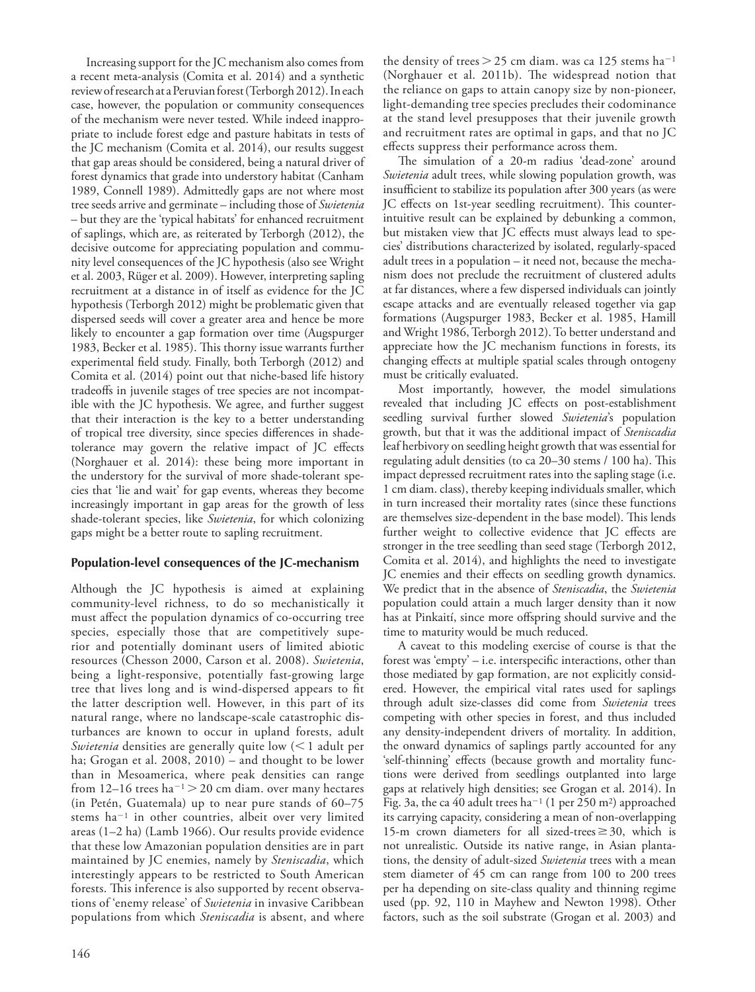Increasing support for the JC mechanism also comes from a recent meta-analysis (Comita et al. 2014) and a synthetic review of research at a Peruvian forest (Terborgh 2012). In each case, however, the population or community consequences of the mechanism were never tested. While indeed inappropriate to include forest edge and pasture habitats in tests of the JC mechanism (Comita et al. 2014), our results suggest that gap areas should be considered, being a natural driver of forest dynamics that grade into understory habitat (Canham 1989, Connell 1989). Admittedly gaps are not where most tree seeds arrive and germinate – including those of *Swietenia* – but they are the 'typical habitats' for enhanced recruitment of saplings, which are, as reiterated by Terborgh (2012), the decisive outcome for appreciating population and community level consequences of the JC hypothesis (also see Wright et al. 2003, Rüger et al. 2009). However, interpreting sapling recruitment at a distance in of itself as evidence for the JC hypothesis (Terborgh 2012) might be problematic given that dispersed seeds will cover a greater area and hence be more likely to encounter a gap formation over time (Augspurger 1983, Becker et al. 1985). This thorny issue warrants further experimental field study. Finally, both Terborgh (2012) and Comita et al. (2014) point out that niche-based life history tradeoffs in juvenile stages of tree species are not incompatible with the JC hypothesis. We agree, and further suggest that their interaction is the key to a better understanding of tropical tree diversity, since species differences in shadetolerance may govern the relative impact of JC effects (Norghauer et al. 2014): these being more important in the understory for the survival of more shade-tolerant species that 'lie and wait' for gap events, whereas they become increasingly important in gap areas for the growth of less shade-tolerant species, like *Swietenia*, for which colonizing gaps might be a better route to sapling recruitment.

## **Population-level consequences of the JC-mechanism**

Although the JC hypothesis is aimed at explaining community-level richness, to do so mechanistically it must affect the population dynamics of co-occurring tree species, especially those that are competitively superior and potentially dominant users of limited abiotic resources (Chesson 2000, Carson et al. 2008). *Swietenia*, being a light-responsive, potentially fast-growing large tree that lives long and is wind-dispersed appears to fit the latter description well. However, in this part of its natural range, where no landscape-scale catastrophic disturbances are known to occur in upland forests, adult *Swietenia* densities are generally quite low  $\leq 1$  adult per ha; Grogan et al. 2008, 2010) – and thought to be lower than in Mesoamerica, where peak densities can range from 12–16 trees ha<sup>-1</sup>  $>$  20 cm diam. over many hectares (in Petén, Guatemala) up to near pure stands of 60–75 stems  $ha^{-1}$  in other countries, albeit over very limited areas (1–2 ha) (Lamb 1966). Our results provide evidence that these low Amazonian population densities are in part maintained by JC enemies, namely by *Steniscadia*, which interestingly appears to be restricted to South American forests. This inference is also supported by recent observations of 'enemy release' of *Swietenia* in invasive Caribbean populations from which *Steniscadia* is absent, and where

the density of trees  $>$  25 cm diam. was ca 125 stems ha<sup>-1</sup> (Norghauer et al. 2011b). The widespread notion that the reliance on gaps to attain canopy size by non-pioneer, light-demanding tree species precludes their codominance at the stand level presupposes that their juvenile growth and recruitment rates are optimal in gaps, and that no JC effects suppress their performance across them.

The simulation of a 20-m radius 'dead-zone' around *Swietenia* adult trees, while slowing population growth, was insufficient to stabilize its population after 300 years (as were JC effects on 1st-year seedling recruitment). This counterintuitive result can be explained by debunking a common, but mistaken view that JC effects must always lead to species' distributions characterized by isolated, regularly-spaced adult trees in a population – it need not, because the mechanism does not preclude the recruitment of clustered adults at far distances, where a few dispersed individuals can jointly escape attacks and are eventually released together via gap formations (Augspurger 1983, Becker et al. 1985, Hamill and Wright 1986, Terborgh 2012). To better understand and appreciate how the JC mechanism functions in forests, its changing effects at multiple spatial scales through ontogeny must be critically evaluated.

Most importantly, however, the model simulations revealed that including JC effects on post-establishment seedling survival further slowed *Swietenia*'s population growth, but that it was the additional impact of *Steniscadia* leaf herbivory on seedling height growth that was essential for regulating adult densities (to ca 20–30 stems / 100 ha). This impact depressed recruitment rates into the sapling stage (i.e. 1 cm diam. class), thereby keeping individuals smaller, which in turn increased their mortality rates (since these functions are themselves size-dependent in the base model). This lends further weight to collective evidence that JC effects are stronger in the tree seedling than seed stage (Terborgh 2012, Comita et al. 2014), and highlights the need to investigate JC enemies and their effects on seedling growth dynamics. We predict that in the absence of *Steniscadia*, the *Swietenia* population could attain a much larger density than it now has at Pinkaití, since more offspring should survive and the time to maturity would be much reduced.

A caveat to this modeling exercise of course is that the forest was 'empty' – i.e. interspecific interactions, other than those mediated by gap formation, are not explicitly considered. However, the empirical vital rates used for saplings through adult size-classes did come from *Swietenia* trees competing with other species in forest, and thus included any density-independent drivers of mortality. In addition, the onward dynamics of saplings partly accounted for any 'self-thinning' effects (because growth and mortality functions were derived from seedlings outplanted into large gaps at relatively high densities; see Grogan et al. 2014). In Fig. 3a, the ca 40 adult trees ha<sup>-1</sup> (1 per 250 m<sup>2</sup>) approached its carrying capacity, considering a mean of non-overlapping 15-m crown diameters for all sized-trees  $\geq$  30, which is not unrealistic. Outside its native range, in Asian plantations, the density of adult-sized *Swietenia* trees with a mean stem diameter of 45 cm can range from 100 to 200 trees per ha depending on site-class quality and thinning regime used (pp. 92, 110 in Mayhew and Newton 1998). Other factors, such as the soil substrate (Grogan et al. 2003) and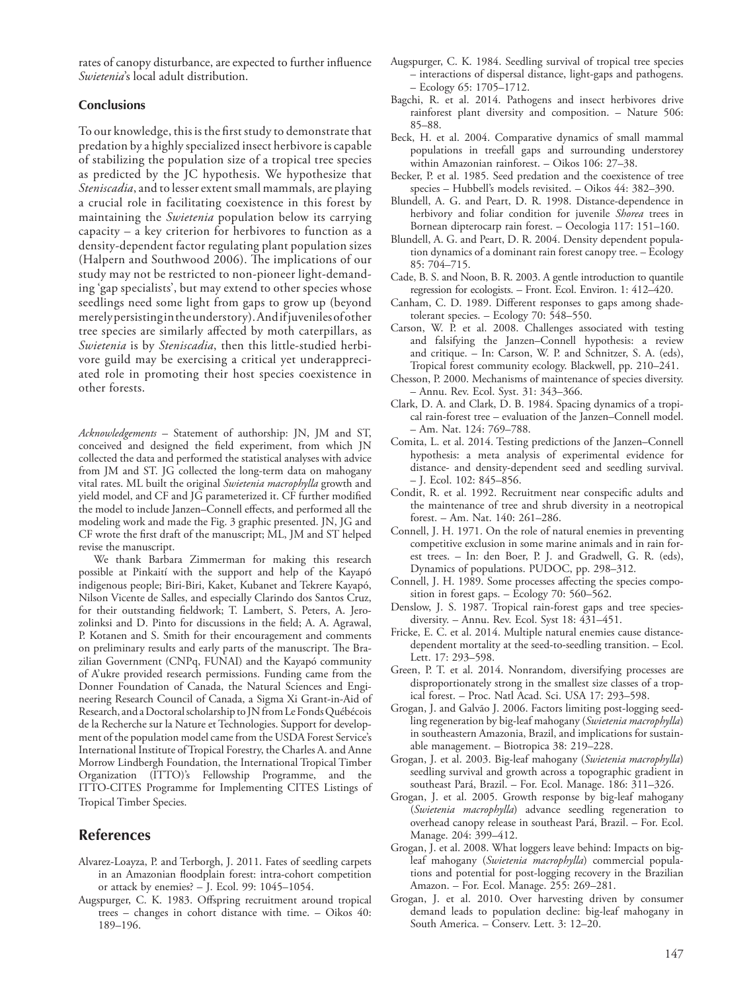rates of canopy disturbance, are expected to further influence *Swietenia*'s local adult distribution.

## **Conclusions**

To our knowledge, this is the first study to demonstrate that predation by a highly specialized insect herbivore is capable of stabilizing the population size of a tropical tree species as predicted by the JC hypothesis. We hypothesize that *Steniscadia*, and to lesser extent small mammals, are playing a crucial role in facilitating coexistence in this forest by maintaining the *Swietenia* population below its carrying capacity – a key criterion for herbivores to function as a density-dependent factor regulating plant population sizes (Halpern and Southwood 2006). The implications of our study may not be restricted to non-pioneer light-demanding 'gap specialists', but may extend to other species whose seedlings need some light from gaps to grow up (beyond merely persisting in the understory). And if juveniles of other tree species are similarly affected by moth caterpillars, as *Swietenia* is by *Steniscadia*, then this little-studied herbivore guild may be exercising a critical yet underappreciated role in promoting their host species coexistence in other forests.

*Acknowledgements –* Statement of authorship: JN, JM and ST, conceived and designed the field experiment, from which JN collected the data and performed the statistical analyses with advice from JM and ST. JG collected the long-term data on mahogany vital rates. ML built the original *Swietenia macrophylla* growth and yield model, and CF and JG parameterized it. CF further modified the model to include Janzen–Connell effects, and performed all the modeling work and made the Fig. 3 graphic presented. JN, JG and CF wrote the first draft of the manuscript; ML, JM and ST helped revise the manuscript.

We thank Barbara Zimmerman for making this research possible at Pinkaití with the support and help of the Kayapó indigenous people; Biri-Biri, Kaket, Kubanet and Tekrere Kayapó, Nilson Vicente de Salles, and especially Clarindo dos Santos Cruz, for their outstanding fieldwork; T. Lambert, S. Peters, A. Jerozolinksi and D. Pinto for discussions in the field; A. A. Agrawal, P. Kotanen and S. Smith for their encouragement and comments on preliminary results and early parts of the manuscript. The Brazilian Government (CNPq, FUNAI) and the Kayapó community of A'ukre provided research permissions. Funding came from the Donner Foundation of Canada, the Natural Sciences and Engineering Research Council of Canada, a Sigma Xi Grant-in-Aid of Research, and a Doctoral scholarship to JN from Le Fonds Québécois de la Recherche sur la Nature et Technologies. Support for development of the population model came from the USDA Forest Service's International Institute of Tropical Forestry, the Charles A. and Anne Morrow Lindbergh Foundation, the International Tropical Timber Organization (ITTO)'s Fellowship Programme, and the ITTO-CITES Programme for Implementing CITES Listings of Tropical Timber Species.

# **References**

- Alvarez-Loayza, P. and Terborgh, J. 2011. Fates of seedling carpets in an Amazonian floodplain forest: intra-cohort competition or attack by enemies? – J. Ecol. 99: 1045–1054.
- Augspurger, C. K. 1983. Offspring recruitment around tropical trees – changes in cohort distance with time. – Oikos 40: 189–196.
- Augspurger, C. K. 1984. Seedling survival of tropical tree species – interactions of dispersal distance, light-gaps and pathogens. – Ecology 65: 1705–1712.
- Bagchi, R. et al. 2014. Pathogens and insect herbivores drive rainforest plant diversity and composition. – Nature 506: 85–88.
- Beck, H. et al. 2004. Comparative dynamics of small mammal populations in treefall gaps and surrounding understorey within Amazonian rainforest. – Oikos 106: 27–38.
- Becker, P. et al. 1985. Seed predation and the coexistence of tree species – Hubbell's models revisited. – Oikos 44: 382–390.
- Blundell, A. G. and Peart, D. R. 1998. Distance-dependence in herbivory and foliar condition for juvenile *Shorea* trees in Bornean dipterocarp rain forest. – Oecologia 117: 151–160.
- Blundell, A. G. and Peart, D. R. 2004. Density dependent population dynamics of a dominant rain forest canopy tree. – Ecology 85: 704–715.
- Cade, B. S. and Noon, B. R. 2003. A gentle introduction to quantile regression for ecologists. – Front. Ecol. Environ. 1: 412–420.
- Canham, C. D. 1989. Different responses to gaps among shadetolerant species. – Ecology 70: 548–550.
- Carson, W. P. et al. 2008. Challenges associated with testing and falsifying the Janzen–Connell hypothesis: a review and critique. – In: Carson, W. P. and Schnitzer, S. A. (eds), Tropical forest community ecology. Blackwell, pp. 210–241.
- Chesson, P. 2000. Mechanisms of maintenance of species diversity. – Annu. Rev. Ecol. Syst. 31: 343–366.
- Clark, D. A. and Clark, D. B. 1984. Spacing dynamics of a tropical rain-forest tree – evaluation of the Janzen–Connell model. – Am. Nat. 124: 769–788.
- Comita, L. et al. 2014. Testing predictions of the Janzen–Connell hypothesis: a meta analysis of experimental evidence for distance- and density-dependent seed and seedling survival. – J. Ecol. 102: 845–856.
- Condit, R. et al. 1992. Recruitment near conspecific adults and the maintenance of tree and shrub diversity in a neotropical forest. – Am. Nat. 140: 261–286.
- Connell, J. H. 1971. On the role of natural enemies in preventing competitive exclusion in some marine animals and in rain forest trees. – In: den Boer, P. J. and Gradwell, G. R. (eds), Dynamics of populations. PUDOC, pp. 298–312.
- Connell, J. H. 1989. Some processes affecting the species composition in forest gaps. – Ecology 70: 560–562.
- Denslow, J. S. 1987. Tropical rain-forest gaps and tree speciesdiversity. – Annu. Rev. Ecol. Syst 18: 431–451.
- Fricke, E. C. et al. 2014. Multiple natural enemies cause distancedependent mortality at the seed-to-seedling transition. – Ecol. Lett. 17: 293–598.
- Green, P. T. et al. 2014. Nonrandom, diversifying processes are disproportionately strong in the smallest size classes of a tropical forest. – Proc. Natl Acad. Sci. USA 17: 293–598.
- Grogan, J. and Galvão J. 2006. Factors limiting post-logging seedling regeneration by big-leaf mahogany (*Swietenia macrophylla*) in southeastern Amazonia, Brazil, and implications for sustainable management. – Biotropica 38: 219–228.
- Grogan, J. et al. 2003. Big-leaf mahogany (*Swietenia macrophylla*) seedling survival and growth across a topographic gradient in southeast Pará, Brazil. – For. Ecol. Manage. 186: 311–326.
- Grogan, J. et al. 2005. Growth response by big-leaf mahogany (*Swietenia macrophylla*) advance seedling regeneration to overhead canopy release in southeast Pará, Brazil. – For. Ecol. Manage. 204: 399–412.
- Grogan, J. et al. 2008. What loggers leave behind: Impacts on bigleaf mahogany (*Swietenia macrophylla*) commercial populations and potential for post-logging recovery in the Brazilian Amazon. – For. Ecol. Manage. 255: 269–281.
- Grogan, J. et al. 2010. Over harvesting driven by consumer demand leads to population decline: big-leaf mahogany in South America. – Conserv. Lett. 3: 12–20.